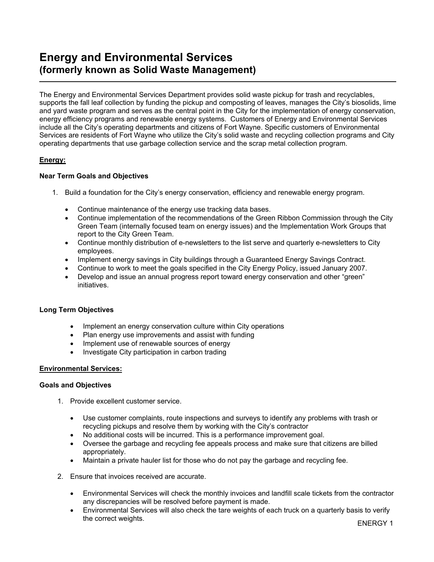## Energy and Environmental Services (formerly known as Solid Waste Management)

The Energy and Environmental Services Department provides solid waste pickup for trash and recyclables, supports the fall leaf collection by funding the pickup and composting of leaves, manages the City's biosolids, lime and yard waste program and serves as the central point in the City for the implementation of energy conservation, energy efficiency programs and renewable energy systems. Customers of Energy and Environmental Services include all the City's operating departments and citizens of Fort Wayne. Specific customers of Environmental Services are residents of Fort Wayne who utilize the City's solid waste and recycling collection programs and City operating departments that use garbage collection service and the scrap metal collection program.

#### Energy:

ı

#### Near Term Goals and Objectives

- 1. Build a foundation for the City's energy conservation, efficiency and renewable energy program.
	- Continue maintenance of the energy use tracking data bases.
	- Continue implementation of the recommendations of the Green Ribbon Commission through the City Green Team (internally focused team on energy issues) and the Implementation Work Groups that report to the City Green Team.
	- Continue monthly distribution of e-newsletters to the list serve and quarterly e-newsletters to City employees.
	- Implement energy savings in City buildings through a Guaranteed Energy Savings Contract.
	- Continue to work to meet the goals specified in the City Energy Policy, issued January 2007.
	- Develop and issue an annual progress report toward energy conservation and other "green" initiatives.

#### Long Term Objectives

- Implement an energy conservation culture within City operations
- Plan energy use improvements and assist with funding
- Implement use of renewable sources of energy
- Investigate City participation in carbon trading

#### Environmental Services:

#### Goals and Objectives

- 1. Provide excellent customer service.
	- Use customer complaints, route inspections and surveys to identify any problems with trash or recycling pickups and resolve them by working with the City's contractor
	- No additional costs will be incurred. This is a performance improvement goal.
	- Oversee the garbage and recycling fee appeals process and make sure that citizens are billed appropriately.
	- Maintain a private hauler list for those who do not pay the garbage and recycling fee.
- 2. Ensure that invoices received are accurate.
	- Environmental Services will check the monthly invoices and landfill scale tickets from the contractor any discrepancies will be resolved before payment is made.
	- Environmental Services will also check the tare weights of each truck on a quarterly basis to verify the correct weights. The correct weights.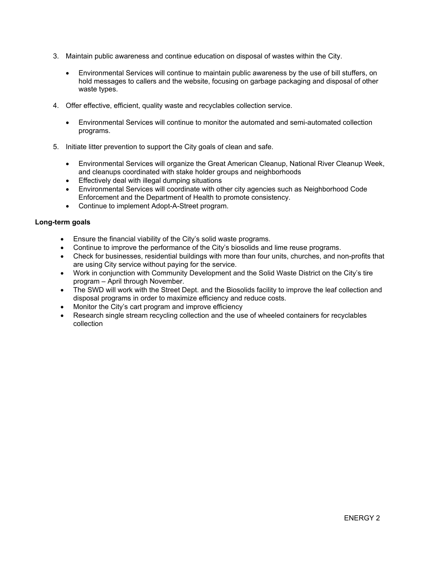- 3. Maintain public awareness and continue education on disposal of wastes within the City.
	- Environmental Services will continue to maintain public awareness by the use of bill stuffers, on hold messages to callers and the website, focusing on garbage packaging and disposal of other waste types.
- 4. Offer effective, efficient, quality waste and recyclables collection service.
	- Environmental Services will continue to monitor the automated and semi-automated collection programs.
- 5. Initiate litter prevention to support the City goals of clean and safe.
	- Environmental Services will organize the Great American Cleanup, National River Cleanup Week, and cleanups coordinated with stake holder groups and neighborhoods
	- Effectively deal with illegal dumping situations
	- Environmental Services will coordinate with other city agencies such as Neighborhood Code Enforcement and the Department of Health to promote consistency.
	- Continue to implement Adopt-A-Street program.

#### Long-term goals

- Ensure the financial viability of the City's solid waste programs.
- Continue to improve the performance of the City's biosolids and lime reuse programs.
- Check for businesses, residential buildings with more than four units, churches, and non-profits that are using City service without paying for the service.
- Work in conjunction with Community Development and the Solid Waste District on the City's tire program – April through November.
- The SWD will work with the Street Dept. and the Biosolids facility to improve the leaf collection and disposal programs in order to maximize efficiency and reduce costs.
- Monitor the City's cart program and improve efficiency
- Research single stream recycling collection and the use of wheeled containers for recyclables collection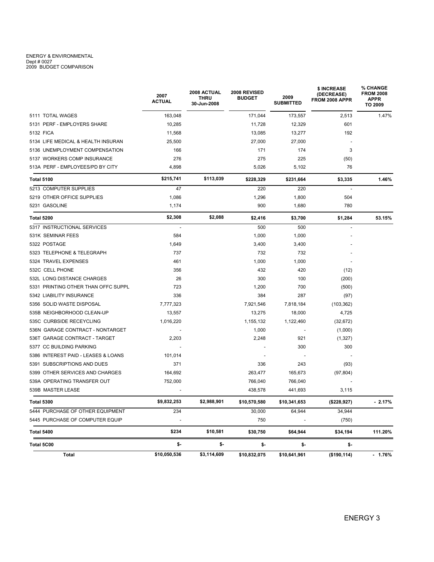# ENERGY & ENVIRONMENTAL<br>Dept # 0027<br>2009 BUDGET COMPARISON

|                                     | 2007<br><b>ACTUAL</b> | 2008 ACTUAL<br><b>THRU</b><br>30-Jun-2008 | 2008 REVISED<br><b>BUDGET</b> | 2009<br><b>SUBMITTED</b> | \$ INCREASE<br>(DECREASE)<br><b>FROM 2008 APPR</b> | <b>% CHANGE</b><br><b>FROM 2008</b><br><b>APPR</b><br>TO 2009 |
|-------------------------------------|-----------------------|-------------------------------------------|-------------------------------|--------------------------|----------------------------------------------------|---------------------------------------------------------------|
| 5111 TOTAL WAGES                    | 163,048               |                                           | 171,044                       | 173,557                  | 2,513                                              | 1.47%                                                         |
| 5131 PERF - EMPLOYERS SHARE         | 10,285                |                                           | 11,728                        | 12,329                   | 601                                                |                                                               |
| 5132 FICA                           | 11,568                |                                           | 13,085                        | 13,277                   | 192                                                |                                                               |
| 5134 LIFE MEDICAL & HEALTH INSURAN  | 25,500                |                                           | 27,000                        | 27,000                   |                                                    |                                                               |
| 5136 UNEMPLOYMENT COMPENSATION      | 166                   |                                           | 171                           | 174                      | 3                                                  |                                                               |
| 5137 WORKERS COMP INSURANCE         | 276                   |                                           | 275                           | 225                      | (50)                                               |                                                               |
| 513A PERF - EMPLOYEES/PD BY CITY    | 4,898                 |                                           | 5,026                         | 5,102                    | 76                                                 |                                                               |
| Total 5100                          | \$215,741             | \$113,039                                 | \$228,329                     | \$231,664                | \$3,335                                            | 1.46%                                                         |
| 5213 COMPUTER SUPPLIES              | 47                    |                                           | 220                           | 220                      | $\overline{\phantom{a}}$                           |                                                               |
| 5219 OTHER OFFICE SUPPLIES          | 1,086                 |                                           | 1,296                         | 1,800                    | 504                                                |                                                               |
| 5231 GASOLINE                       | 1,174                 |                                           | 900                           | 1,680                    | 780                                                |                                                               |
| Total 5200                          | \$2,308               | \$2,088                                   | \$2,416                       | \$3,700                  | \$1,284                                            | 53.15%                                                        |
| 5317 INSTRUCTIONAL SERVICES         |                       |                                           | 500                           | 500                      |                                                    |                                                               |
| 531K SEMINAR FEES                   | 584                   |                                           | 1,000                         | 1,000                    |                                                    |                                                               |
| 5322 POSTAGE                        | 1,649                 |                                           | 3,400                         | 3,400                    |                                                    |                                                               |
| 5323 TELEPHONE & TELEGRAPH          | 737                   |                                           | 732                           | 732                      |                                                    |                                                               |
| 5324 TRAVEL EXPENSES                | 461                   |                                           | 1,000                         | 1,000                    |                                                    |                                                               |
| 532C CELL PHONE                     | 356                   |                                           | 432                           | 420                      | (12)                                               |                                                               |
| 532L LONG DISTANCE CHARGES          | 26                    |                                           | 300                           | 100                      | (200)                                              |                                                               |
| 5331 PRINTING OTHER THAN OFFC SUPPL | 723                   |                                           | 1,200                         | 700                      | (500)                                              |                                                               |
| 5342 LIABILITY INSURANCE            | 336                   |                                           | 384                           | 287                      | (97)                                               |                                                               |
| 5356 SOLID WASTE DISPOSAL           | 7,777,323             |                                           | 7,921,546                     | 7,818,184                | (103, 362)                                         |                                                               |
| 535B NEIGHBORHOOD CLEAN-UP          | 13,557                |                                           | 13,275                        | 18,000                   | 4,725                                              |                                                               |
| 535C CURBSIDE RECEYCLING            | 1,016,220             |                                           | 1,155,132                     | 1,122,460                | (32, 672)                                          |                                                               |
| 536N GARAGE CONTRACT - NONTARGET    |                       |                                           | 1,000                         |                          | (1,000)                                            |                                                               |
| 536T GARAGE CONTRACT - TARGET       | 2,203                 |                                           | 2,248                         | 921                      | (1,327)                                            |                                                               |
| 5377 CC BUILDING PARKING            |                       |                                           |                               | 300                      | 300                                                |                                                               |
| 5386 INTEREST PAID - LEASES & LOANS | 101,014               |                                           |                               |                          |                                                    |                                                               |
| 5391 SUBSCRIPTIONS AND DUES         | 371                   |                                           | 336                           | 243                      | (93)                                               |                                                               |
| 5399 OTHER SERVICES AND CHARGES     | 164,692               |                                           | 263,477                       | 165,673                  | (97, 804)                                          |                                                               |
| 539A OPERATING TRANSFER OUT         | 752,000               |                                           | 766,040                       | 766,040                  |                                                    |                                                               |
| 539B MASTER LEASE                   |                       |                                           | 438,578                       | 441,693                  | 3,115                                              |                                                               |
| <b>Total 5300</b>                   | \$9,832,253           | \$2,988,901                               | \$10,570,580                  | \$10.341.653             | (\$228,927)                                        | $-2.17%$                                                      |
| 5444 PURCHASE OF OTHER EQUIPMENT    | 234                   |                                           | 30,000                        | 64,944                   | 34,944                                             |                                                               |
| 5445 PURCHASE OF COMPUTER EQUIP     |                       |                                           | 750                           |                          | (750)                                              |                                                               |
| Total 5400                          | \$234                 | \$10,581                                  | \$30,750                      | \$64,944                 | \$34,194                                           | 111.20%                                                       |
| Total 5C00                          | \$-                   | \$-                                       | \$-                           | \$-                      | \$-                                                |                                                               |
| Total                               | \$10,050,536          | \$3,114,609                               | \$10,832,075                  | \$10,641,961             | (\$190, 114)                                       | $-1.76%$                                                      |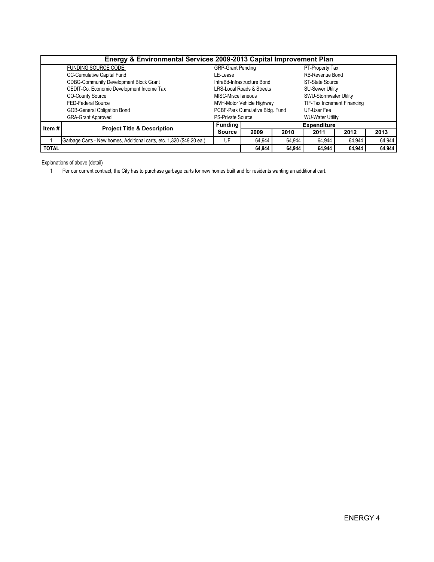| Energy & Environmental Services 2009-2013 Capital Improvement Plan |                                                                       |                                             |                                      |        |                             |        |        |  |  |  |  |  |
|--------------------------------------------------------------------|-----------------------------------------------------------------------|---------------------------------------------|--------------------------------------|--------|-----------------------------|--------|--------|--|--|--|--|--|
|                                                                    | FUNDING SOURCE CODE:                                                  | <b>GRP-Grant Pending</b><br>PT-Property Tax |                                      |        |                             |        |        |  |  |  |  |  |
|                                                                    | <b>CC-Cumulative Capital Fund</b>                                     | LE-Lease                                    |                                      |        | RB-Revenue Bond             |        |        |  |  |  |  |  |
|                                                                    | <b>CDBG-Community Development Block Grant</b>                         |                                             | InfraBd-Infrastructure Bond          |        | ST-State Source             |        |        |  |  |  |  |  |
|                                                                    | CEDIT-Co. Economic Development Income Tax                             |                                             | <b>LRS-Local Roads &amp; Streets</b> |        | <b>SU-Sewer Utility</b>     |        |        |  |  |  |  |  |
|                                                                    | <b>CO-County Source</b>                                               | MISC-Miscellaneous                          |                                      |        | SWU-Stormwater Utility      |        |        |  |  |  |  |  |
|                                                                    | FED-Federal Source                                                    |                                             | MVH-Motor Vehicle Highway            |        | TIF-Tax Increment Financing |        |        |  |  |  |  |  |
|                                                                    | GOB-General Obligation Bond                                           |                                             | PCBF-Park Cumulative Bldg. Fund      |        | UF-User Fee                 |        |        |  |  |  |  |  |
|                                                                    | <b>GRA-Grant Approved</b>                                             | <b>PS-Private Source</b>                    |                                      |        | <b>WU-Water Utility</b>     |        |        |  |  |  |  |  |
| Item#                                                              | <b>Project Title &amp; Description</b>                                | <b>Funding</b>                              | <b>Expenditure</b>                   |        |                             |        |        |  |  |  |  |  |
|                                                                    |                                                                       | <b>Source</b>                               | 2009                                 | 2010   | 2011                        | 2012   | 2013   |  |  |  |  |  |
|                                                                    | Garbage Carts - New homes, Additional carts, etc. 1,320 (\$49.20 ea.) | UF                                          | 64,944                               | 64.944 | 64,944                      | 64,944 | 64,944 |  |  |  |  |  |
| <b>TOTAL</b>                                                       |                                                                       | 64.944                                      | 64.944                               | 64.944 | 64.944                      | 64.944 |        |  |  |  |  |  |

Explanations of above (detail)

1 Per our current contract, the City has to purchase garbage carts for new homes built and for residents wanting an additional cart.